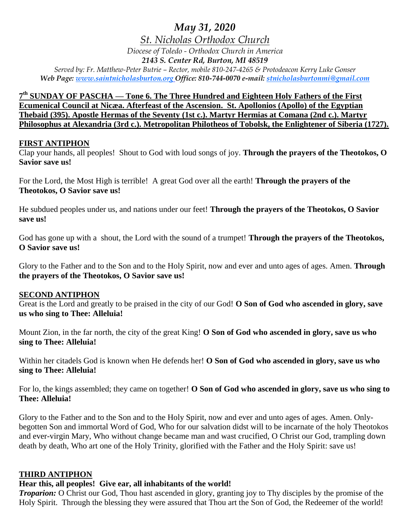# *May 31, 2020*

*St. Nicholas Orthodox Church*

*Diocese of Toledo - Orthodox Church in America*

*2143 S. Center Rd, Burton, MI 48519*

*Served by: Fr. Matthew-Peter Butrie – Rector, mobile 810-247-4265 & Protodeacon Kerry Luke Gonser Web Page: www.saintnicholasburton.org Office: 810-744-0070 e-mail: stnicholasburtonmi@gmail.com*

**7 th SUNDAY OF PASCHA — Tone 6. The Three Hundred and Eighteen Holy Fathers of the First Ecumenical Council at Nicæa. Afterfeast of the Ascension. St. Apollonios (Apollo) of the Egyptian Thebaid (395). Apostle Hermas of the Seventy (1st c.). Martyr Hermias at Comana (2nd c.). Martyr Philosophus at Alexandria (3rd c.). Metropolitan Philotheos of Tobolsk, the Enlightener of Siberia (1727).**

### **FIRST ANTIPHON**

Clap your hands, all peoples! Shout to God with loud songs of joy. **Through the prayers of the Theotokos, O Savior save us!**

For the Lord, the Most High is terrible! A great God over all the earth! **Through the prayers of the Theotokos, O Savior save us!**

He subdued peoples under us, and nations under our feet! **Through the prayers of the Theotokos, O Savior save us!**

God has gone up with a shout, the Lord with the sound of a trumpet! **Through the prayers of the Theotokos, O Savior save us!**

Glory to the Father and to the Son and to the Holy Spirit, now and ever and unto ages of ages. Amen. **Through the prayers of the Theotokos, O Savior save us!**

### **SECOND ANTIPHON**

Great is the Lord and greatly to be praised in the city of our God! **O Son of God who ascended in glory, save us who sing to Thee: Alleluia!**

Mount Zion, in the far north, the city of the great King! **O Son of God who ascended in glory, save us who sing to Thee: Alleluia!**

Within her citadels God is known when He defends her! **O Son of God who ascended in glory, save us who sing to Thee: Alleluia!**

For lo, the kings assembled; they came on together! **O Son of God who ascended in glory, save us who sing to Thee: Alleluia!**

Glory to the Father and to the Son and to the Holy Spirit, now and ever and unto ages of ages. Amen. Onlybegotten Son and immortal Word of God, Who for our salvation didst will to be incarnate of the holy Theotokos and ever-virgin Mary, Who without change became man and wast crucified, O Christ our God, trampling down death by death, Who art one of the Holy Trinity, glorified with the Father and the Holy Spirit: save us!

### **THIRD ANTIPHON**

### **Hear this, all peoples! Give ear, all inhabitants of the world!**

*Troparion:* O Christ our God, Thou hast ascended in glory, granting joy to Thy disciples by the promise of the Holy Spirit. Through the blessing they were assured that Thou art the Son of God, the Redeemer of the world!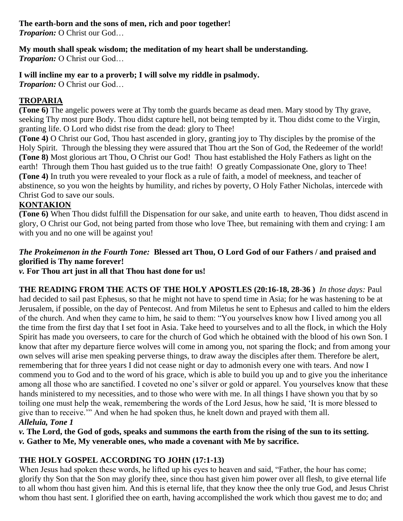# **The earth-born and the sons of men, rich and poor together!**

*Troparion:* O Christ our God…

## **My mouth shall speak wisdom; the meditation of my heart shall be understanding.**

*Troparion:* O Christ our God…

## **I will incline my ear to a proverb; I will solve my riddle in psalmody.**

*Troparion:* O Christ our God…

## **TROPARIA**

**(Tone 6)** The angelic powers were at Thy tomb the guards became as dead men. Mary stood by Thy grave, seeking Thy most pure Body. Thou didst capture hell, not being tempted by it. Thou didst come to the Virgin, granting life. O Lord who didst rise from the dead: glory to Thee!

**(Tone 4)** O Christ our God, Thou hast ascended in glory, granting joy to Thy disciples by the promise of the Holy Spirit. Through the blessing they were assured that Thou art the Son of God, the Redeemer of the world! **(Tone 8)** Most glorious art Thou, O Christ our God! Thou hast established the Holy Fathers as light on the earth! Through them Thou hast guided us to the true faith! O greatly Compassionate One, glory to Thee! **(Tone 4)** In truth you were revealed to your flock as a rule of faith, a model of meekness, and teacher of abstinence, so you won the heights by humility, and riches by poverty, O Holy Father Nicholas, intercede with Christ God to save our souls.

## **KONTAKION**

**(Tone 6)** When Thou didst fulfill the Dispensation for our sake, and unite earth to heaven, Thou didst ascend in glory, O Christ our God, not being parted from those who love Thee, but remaining with them and crying: I am with you and no one will be against you!

## *The Prokeimenon in the Fourth Tone:* **Blessed art Thou, O Lord God of our Fathers / and praised and glorified is Thy name forever!**

*v.* **For Thou art just in all that Thou hast done for us!**

**THE READING FROM THE ACTS OF THE HOLY APOSTLES (20:16-18, 28-36 )** *In those days:* Paul had decided to sail past Ephesus, so that he might not have to spend time in Asia; for he was hastening to be at Jerusalem, if possible, on the day of Pentecost. And from Miletus he sent to Ephesus and called to him the elders of the church. And when they came to him, he said to them: "You yourselves know how I lived among you all the time from the first day that I set foot in Asia. Take heed to yourselves and to all the flock, in which the Holy Spirit has made you overseers, to care for the church of God which he obtained with the blood of his own Son. I know that after my departure fierce wolves will come in among you, not sparing the flock; and from among your own selves will arise men speaking perverse things, to draw away the disciples after them. Therefore be alert, remembering that for three years I did not cease night or day to admonish every one with tears. And now I commend you to God and to the word of his grace, which is able to build you up and to give you the inheritance among all those who are sanctified. I coveted no one's silver or gold or apparel. You yourselves know that these hands ministered to my necessities, and to those who were with me. In all things I have shown you that by so toiling one must help the weak, remembering the words of the Lord Jesus, how he said, 'It is more blessed to give than to receive.'" And when he had spoken thus, he knelt down and prayed with them all. *Alleluia, Tone 1*

*v.* **The Lord, the God of gods, speaks and summons the earth from the rising of the sun to its setting.** *v.* **Gather to Me, My venerable ones, who made a covenant with Me by sacrifice.**

## **THE HOLY GOSPEL ACCORDING TO JOHN (17:1-13)**

When Jesus had spoken these words, he lifted up his eyes to heaven and said, "Father, the hour has come; glorify thy Son that the Son may glorify thee, since thou hast given him power over all flesh, to give eternal life to all whom thou hast given him. And this is eternal life, that they know thee the only true God, and Jesus Christ whom thou hast sent. I glorified thee on earth, having accomplished the work which thou gavest me to do; and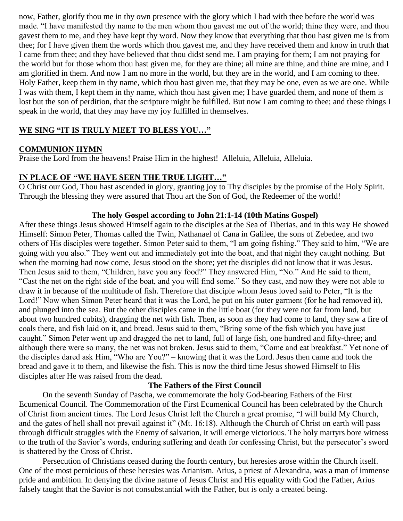now, Father, glorify thou me in thy own presence with the glory which I had with thee before the world was made. "I have manifested thy name to the men whom thou gavest me out of the world; thine they were, and thou gavest them to me, and they have kept thy word. Now they know that everything that thou hast given me is from thee; for I have given them the words which thou gavest me, and they have received them and know in truth that I came from thee; and they have believed that thou didst send me. I am praying for them; I am not praying for the world but for those whom thou hast given me, for they are thine; all mine are thine, and thine are mine, and I am glorified in them. And now I am no more in the world, but they are in the world, and I am coming to thee. Holy Father, keep them in thy name, which thou hast given me, that they may be one, even as we are one. While I was with them, I kept them in thy name, which thou hast given me; I have guarded them, and none of them is lost but the son of perdition, that the scripture might be fulfilled. But now I am coming to thee; and these things I speak in the world, that they may have my joy fulfilled in themselves.

#### **WE SING "IT IS TRULY MEET TO BLESS YOU…"**

#### **COMMUNION HYMN**

Praise the Lord from the heavens! Praise Him in the highest! Alleluia, Alleluia, Alleluia.

#### **IN PLACE OF "WE HAVE SEEN THE TRUE LIGHT…"**

O Christ our God, Thou hast ascended in glory, granting joy to Thy disciples by the promise of the Holy Spirit. Through the blessing they were assured that Thou art the Son of God, the Redeemer of the world!

#### **The holy Gospel according to John 21:1-14 (10th Matins Gospel)**

After these things Jesus showed Himself again to the disciples at the Sea of Tiberias, and in this way He showed Himself: Simon Peter, Thomas called the Twin, Nathanael of Cana in Galilee, the sons of Zebedee, and two others of His disciples were together. Simon Peter said to them, "I am going fishing." They said to him, "We are going with you also." They went out and immediately got into the boat, and that night they caught nothing. But when the morning had now come, Jesus stood on the shore; yet the disciples did not know that it was Jesus. Then Jesus said to them, "Children, have you any food?" They answered Him, "No." And He said to them, "Cast the net on the right side of the boat, and you will find some." So they cast, and now they were not able to draw it in because of the multitude of fish. Therefore that disciple whom Jesus loved said to Peter, "It is the Lord!" Now when Simon Peter heard that it was the Lord, he put on his outer garment (for he had removed it), and plunged into the sea. But the other disciples came in the little boat (for they were not far from land, but about two hundred cubits), dragging the net with fish. Then, as soon as they had come to land, they saw a fire of coals there, and fish laid on it, and bread. Jesus said to them, "Bring some of the fish which you have just caught." Simon Peter went up and dragged the net to land, full of large fish, one hundred and fifty-three; and although there were so many, the net was not broken. Jesus said to them, "Come and eat breakfast." Yet none of the disciples dared ask Him, "Who are You?" – knowing that it was the Lord. Jesus then came and took the bread and gave it to them, and likewise the fish. This is now the third time Jesus showed Himself to His disciples after He was raised from the dead.

#### **The Fathers of the First Council**

On the seventh Sunday of Pascha, we commemorate the holy God-bearing Fathers of the First Ecumenical Council. The Commemoration of the First Ecumenical Council has been celebrated by the Church of Christ from ancient times. The Lord Jesus Christ left the Church a great promise, "I will build My Church, and the gates of hell shall not prevail against it" (Mt. 16:18). Although the Church of Christ on earth will pass through difficult struggles with the Enemy of salvation, it will emerge victorious. The holy martyrs bore witness to the truth of the Savior's words, enduring suffering and death for confessing Christ, but the persecutor's sword is shattered by the Cross of Christ.

Persecution of Christians ceased during the fourth century, but heresies arose within the Church itself. One of the most pernicious of these heresies was Arianism. Arius, a priest of Alexandria, was a man of immense pride and ambition. In denying the divine nature of Jesus Christ and His equality with God the Father, Arius falsely taught that the Savior is not consubstantial with the Father, but is only a created being.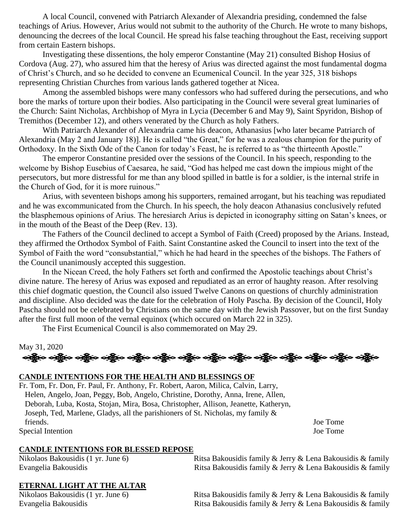A local Council, convened with Patriarch Alexander of Alexandria presiding, condemned the false teachings of Arius. However, Arius would not submit to the authority of the Church. He wrote to many bishops, denouncing the decrees of the local Council. He spread his false teaching throughout the East, receiving support from certain Eastern bishops.

Investigating these dissentions, the holy emperor Constantine (May 21) consulted Bishop Hosius of Cordova (Aug. 27), who assured him that the heresy of Arius was directed against the most fundamental dogma of Christ's Church, and so he decided to convene an Ecumenical Council. In the year 325, 318 bishops representing Christian Churches from various lands gathered together at Nicea.

Among the assembled bishops were many confessors who had suffered during the persecutions, and who bore the marks of torture upon their bodies. Also participating in the Council were several great luminaries of the Church: Saint Nicholas, Archbishop of Myra in Lycia (December 6 and May 9), Saint Spyridon, Bishop of Tremithos (December 12), and others venerated by the Church as holy Fathers.

With Patriarch Alexander of Alexandria came his deacon, Athanasius [who later became Patriarch of Alexandria (May 2 and January 18)]. He is called "the Great," for he was a zealous champion for the purity of Orthodoxy. In the Sixth Ode of the Canon for today's Feast, he is referred to as "the thirteenth Apostle."

The emperor Constantine presided over the sessions of the Council. In his speech, responding to the welcome by Bishop Eusebius of Caesarea, he said, "God has helped me cast down the impious might of the persecutors, but more distressful for me than any blood spilled in battle is for a soldier, is the internal strife in the Church of God, for it is more ruinous."

Arius, with seventeen bishops among his supporters, remained arrogant, but his teaching was repudiated and he was excommunicated from the Church. In his speech, the holy deacon Athanasius conclusively refuted the blasphemous opinions of Arius. The heresiarch Arius is depicted in iconography sitting on Satan's knees, or in the mouth of the Beast of the Deep (Rev. 13).

The Fathers of the Council declined to accept a Symbol of Faith (Creed) proposed by the Arians. Instead, they affirmed the Orthodox Symbol of Faith. Saint Constantine asked the Council to insert into the text of the Symbol of Faith the word "consubstantial," which he had heard in the speeches of the bishops. The Fathers of the Council unanimously accepted this suggestion.

In the Nicean Creed, the holy Fathers set forth and confirmed the Apostolic teachings about Christ's divine nature. The heresy of Arius was exposed and repudiated as an error of haughty reason. After resolving this chief dogmatic question, the Council also issued Twelve Canons on questions of churchly administration and discipline. Also decided was the date for the celebration of Holy Pascha. By decision of the Council, Holy Pascha should not be celebrated by Christians on the same day with the Jewish Passover, but on the first Sunday after the first full moon of the vernal equinox (which occured on March 22 in 325).

The First Ecumenical Council is also commemorated on May 29.

## May 31, 2020 ခရွို့လ ခရွို့လ ခရွို့လ ခရွို့လ ခရွို့လ ခရွို့လ ခရွို့လ ခရွို့လ ခရွို့လ ခရွို့လ ခရွို့လ ခရွို့လ ခရွို့လ ခရွို

#### **CANDLE INTENTIONS FOR THE HEALTH AND BLESSINGS OF**

Fr. Tom, Fr. Don, Fr. Paul, Fr. Anthony, Fr. Robert, Aaron, Milica, Calvin, Larry, Helen, Angelo, Joan, Peggy, Bob, Angelo, Christine, Dorothy, Anna, Irene, Allen, Deborah, Luba, Kosta, Stojan, Mira, Bosa, Christopher, Allison, Jeanette, Katheryn, Joseph, Ted, Marlene, Gladys, all the parishioners of St. Nicholas, my family & friends. Joe Tome Special Intention Joe Tome

#### **CANDLE INTENTIONS FOR BLESSED REPOSE**

Nikolaos Bakousidis (1 yr. June 6) Ritsa Bakousidis family & Jerry & Lena Bakousidis & family Evangelia Bakousidis **Ritsa Bakousidis family & Jerry & Lena Bakousidis & family** 

### **ETERNAL LIGHT AT THE ALTAR**

Nikolaos Bakousidis (1 yr. June 6) Ritsa Bakousidis family & Jerry & Lena Bakousidis & family Evangelia Bakousidis **Ritsa Bakousidis family & Jerry & Lena Bakousidis & family**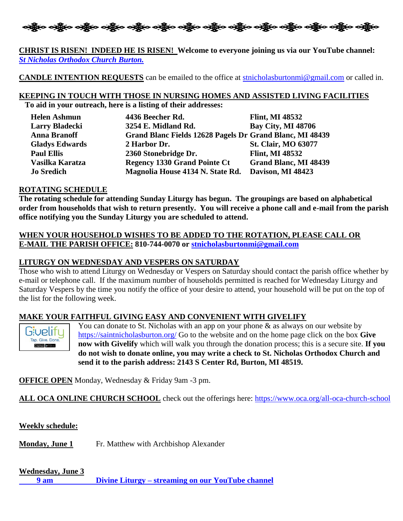

#### **CHRIST IS RISEN! INDEED HE IS RISEN! Welcome to everyone joining us via our YouTube channel:**  *[St Nicholas Orthodox Church Burton.](https://www.youtube.com/channel/UC59tV-Re443z-GCoETAUvfA)*

**CANDLE INTENTION REQUESTS** can be emailed to the office at [stnicholasburtonmi@gmail.com](mailto:stnicholasburtonmi@gmail.com) or called in.

# **KEEPING IN TOUCH WITH THOSE IN NURSING HOMES AND ASSISTED LIVING FACILITIES**

**To aid in your outreach, here is a listing of their addresses:**

| <b>Helen Ashmun</b>   | 4436 Beecher Rd.                                         | <b>Flint, MI 48532</b>       |
|-----------------------|----------------------------------------------------------|------------------------------|
| <b>Larry Bladecki</b> | 3254 E. Midland Rd.                                      | <b>Bay City, MI 48706</b>    |
| <b>Anna Branoff</b>   | Grand Blanc Fields 12628 Pagels Dr Grand Blanc, MI 48439 |                              |
| <b>Gladys Edwards</b> | 2 Harbor Dr.                                             | <b>St. Clair, MO 63077</b>   |
| <b>Paul Ellis</b>     | 2360 Stonebridge Dr.                                     | <b>Flint, MI 48532</b>       |
| Vasilka Karatza       | <b>Regency 1330 Grand Pointe Ct</b>                      | <b>Grand Blanc, MI 48439</b> |
| <b>Jo Sredich</b>     | Magnolia House 4134 N. State Rd.                         | Davison, MI 48423            |

#### **ROTATING SCHEDULE**

**The rotating schedule for attending Sunday Liturgy has begun. The groupings are based on alphabetical order from households that wish to return presently. You will receive a phone call and e-mail from the parish office notifying you the Sunday Liturgy you are scheduled to attend.** 

#### **WHEN YOUR HOUSEHOLD WISHES TO BE ADDED TO THE ROTATION, PLEASE CALL OR E-MAIL THE PARISH OFFICE: 810-744-0070 or [stnicholasburtonmi@gmail.com](mailto:stnicholasburtonmi@gmail.com)**

### **LITURGY ON WEDNESDAY AND VESPERS ON SATURDAY**

Those who wish to attend Liturgy on Wednesday or Vespers on Saturday should contact the parish office whether by e-mail or telephone call. If the maximum number of households permitted is reached for Wednesday Liturgy and Saturday Vespers by the time you notify the office of your desire to attend, your household will be put on the top of the list for the following week.

### **MAKE YOUR FAITHFUL GIVING EASY AND CONVENIENT WITH GIVELIFY**



You can donate to St. Nicholas with an app on your phone  $\&$  as always on our website by <https://saintnicholasburton.org/> Go to the website and on the home page click on the box **Give now with Givelify** which will walk you through the donation process; this is a secure site. **If you do not wish to donate online, you may write a check to St. Nicholas Orthodox Church and send it to the parish address: 2143 S Center Rd, Burton, MI 48519.**

**OFFICE OPEN** Monday, Wednesday & Friday 9am -3 pm.

**ALL OCA ONLINE CHURCH SCHOOL** check out the offerings here:<https://www.oca.org/all-oca-church-school>

**Weekly schedule:**

**Monday, June 1** Fr. Matthew with Archbishop Alexander

### **Wednesday, June 3**

**9 am Divine Liturgy – [streaming on our YouTube channel](https://www.youtube.com/watch?v=c3F9Fk992sc)**